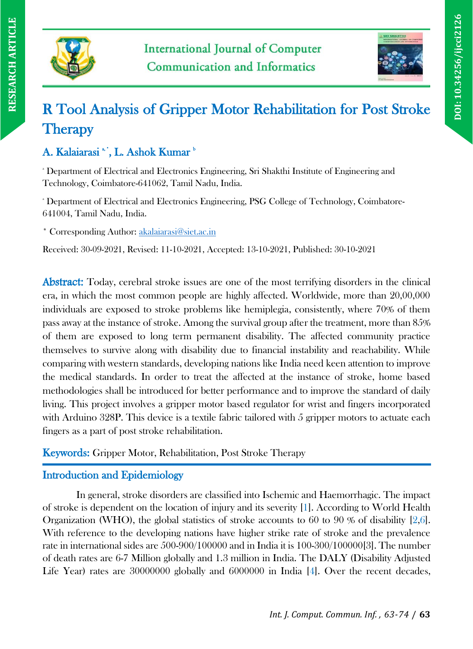



# R Tool Analysis of Gripper Motor Rehabilitation for Post Stroke **Therapy**

# A. Kalaiarasi \*', L. Ashok Kumar \*

<sup>a</sup> Department of Electrical and Electronics Engineering, Sri Shakthi Institute of Engineering and Technology, Coimbatore-641062, Tamil Nadu, India.

<sup>a</sup> Department of Electrical and Electronics Engineering, PSG College of Technology, Coimbatore-641004, Tamil Nadu, India.

\* Corresponding Author: [akalaiarasi@siet.ac.in](mailto:akalaiarasi@siet.ac.in)

Received: 30-09-2021, Revised: 11-10-2021, Accepted: 13-10-2021, Published: 30-10-2021

Abstract: Today, cerebral stroke issues are one of the most terrifying disorders in the clinical era, in which the most common people are highly affected. Worldwide, more than 20,00,000 individuals are exposed to stroke problems like hemiplegia, consistently, where 70% of them pass away at the instance of stroke. Among the survival group after the treatment, more than 85% of them are exposed to long term permanent disability. The affected community practice themselves to survive along with disability due to financial instability and reachability. While comparing with western standards, developing nations like India need keen attention to improve the medical standards. In order to treat the affected at the instance of stroke, home based methodologies shall be introduced for better performance and to improve the standard of daily living. This project involves a gripper motor based regulator for wrist and fingers incorporated with Arduino 328P. This device is a textile fabric tailored with 5 gripper motors to actuate each fingers as a part of post stroke rehabilitation.

Keywords: Gripper Motor, Rehabilitation, Post Stroke Therapy

## Introduction and Epidemiology

In general, stroke disorders are classified into Ischemic and Haemorrhagic. The impact of stroke is dependent on the location of injury and its severity [1]. According to World Health Organization (WHO), the global statistics of stroke accounts to 60 to 90 % of disability [2,6]. With reference to the developing nations have higher strike rate of stroke and the prevalence rate in international sides are 500-900/100000 and in India it is 100-300/100000[3]. The number of death rates are 6-7 Million globally and 1.3 million in India. The DALY (Disability Adjusted Life Year) rates are 30000000 globally and 6000000 in India [4]. Over the recent decades,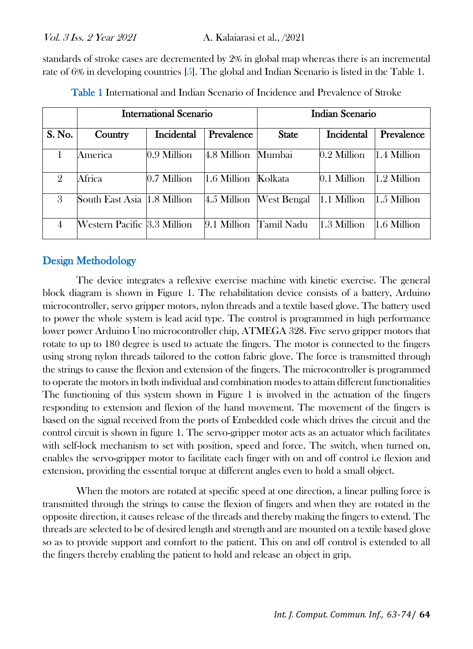standards of stroke cases are decremented by 2% in global map whereas there is an incremental rate of 6% in developing countries [5]. The global and Indian Scenario is listed in the Table 1.

|                | <b>International Scenario</b> |             |                     | <b>Indian Scenario</b>  |             |             |  |
|----------------|-------------------------------|-------------|---------------------|-------------------------|-------------|-------------|--|
| S. No.         | Country                       | Incidental  | Prevalence          | <b>State</b>            | Incidental  | Prevalence  |  |
|                | America                       | 0.9 Million | 4.8 Million Mumbai  |                         | 0.2 Million | 1.4 Million |  |
| $\overline{2}$ | Africa                        | 0.7 Million | 1.6 Million Kolkata |                         | 0.1 Million | 1.2 Million |  |
| 3              | South East Asia 1.8 Million   |             |                     | 4.5 Million West Bengal | 1.1 Million | 1.5 Million |  |
| 4              | Western Pacific 3.3 Million   |             |                     | 9.1 Million Tamil Nadu  | 1.3 Million | 1.6 Million |  |

Table 1 International and Indian Scenario of Incidence and Prevalence of Stroke

## Design Methodology

The device integrates a reflexive exercise machine with kinetic exercise. The general block diagram is shown in Figure 1. The rehabilitation device consists of a battery, Arduino microcontroller, servo gripper motors, nylon threads and a textile based glove. The battery used to power the whole system is lead acid type. The control is programmed in high performance lower power Arduino Uno microcontroller chip, ATMEGA 328. Five servo gripper motors that rotate to up to 180 degree is used to actuate the fingers. The motor is connected to the fingers using strong nylon threads tailored to the cotton fabric glove. The force is transmitted through the strings to cause the flexion and extension of the fingers. The microcontroller is programmed to operate the motors in both individual and combination modes to attain different functionalities The functioning of this system shown in Figure 1 is involved in the actuation of the fingers responding to extension and flexion of the hand movement. The movement of the fingers is based on the signal received from the ports of Embedded code which drives the circuit and the control circuit is shown in figure 1. The servo-gripper motor acts as an actuator which facilitates with self-lock mechanism to set with position, speed and force. The switch, when turned on, enables the servo-gripper motor to facilitate each finger with on and off control i.e flexion and extension, providing the essential torque at different angles even to hold a small object.

When the motors are rotated at specific speed at one direction, a linear pulling force is transmitted through the strings to cause the flexion of fingers and when they are rotated in the opposite direction, it causes release of the threads and thereby making the fingers to extend. The threads are selected to be of desired length and strength and are mounted on a textile based glove so as to provide support and comfort to the patient. This on and off control is extended to all the fingers thereby enabling the patient to hold and release an object in grip.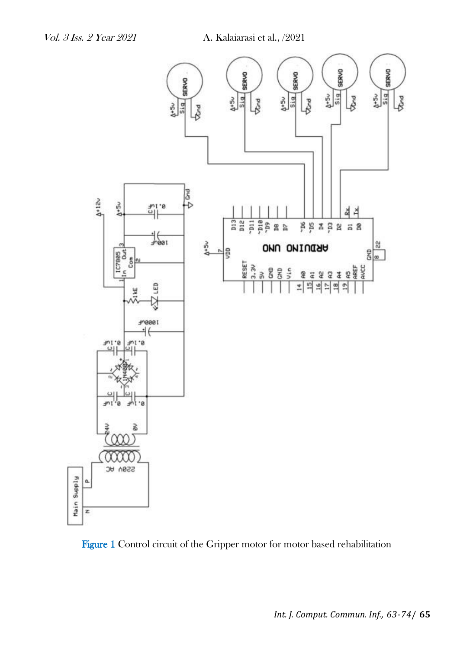

Figure 1 Control circuit of the Gripper motor for motor based rehabilitation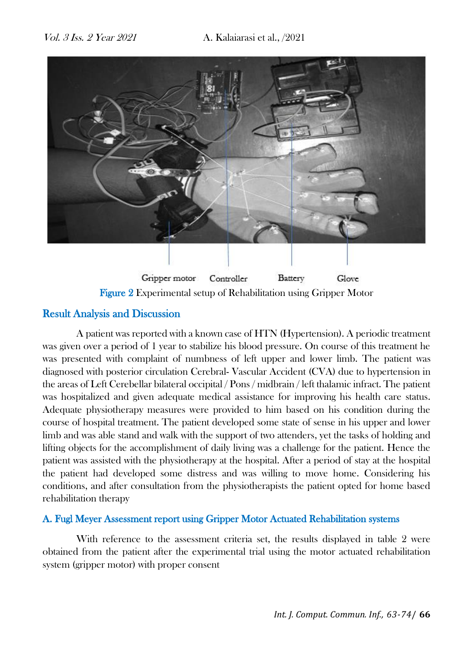

Figure 2 Experimental setup of Rehabilitation using Gripper Motor

## Result Analysis and Discussion

A patient was reported with a known case of HTN (Hypertension). A periodic treatment was given over a period of 1 year to stabilize his blood pressure. On course of this treatment he was presented with complaint of numbness of left upper and lower limb. The patient was diagnosed with posterior circulation Cerebral- Vascular Accident (CVA) due to hypertension in the areas of Left Cerebellar bilateral occipital / Pons / midbrain / left thalamic infract. The patient was hospitalized and given adequate medical assistance for improving his health care status. Adequate physiotherapy measures were provided to him based on his condition during the course of hospital treatment. The patient developed some state of sense in his upper and lower limb and was able stand and walk with the support of two attenders, yet the tasks of holding and lifting objects for the accomplishment of daily living was a challenge for the patient. Hence the patient was assisted with the physiotherapy at the hospital. After a period of stay at the hospital the patient had developed some distress and was willing to move home. Considering his conditions, and after consultation from the physiotherapists the patient opted for home based rehabilitation therapy

### A. Fugl Meyer Assessment report using Gripper Motor Actuated Rehabilitation systems

With reference to the assessment criteria set, the results displayed in table 2 were obtained from the patient after the experimental trial using the motor actuated rehabilitation system (gripper motor) with proper consent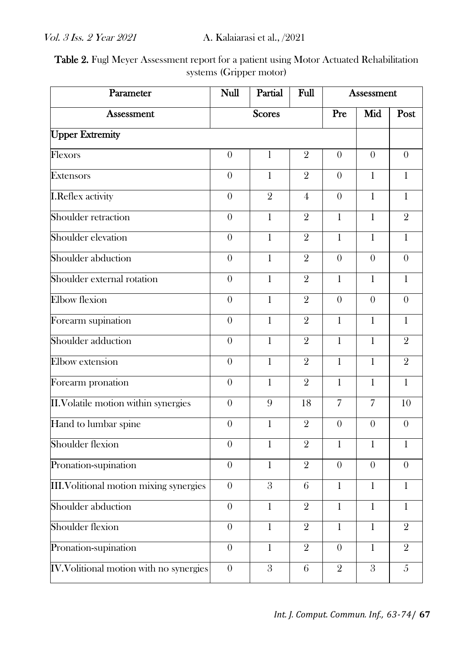Table 2. Fugl Meyer Assessment report for a patient using Motor Actuated Rehabilitation systems (Gripper motor)

| Parameter                                      | <b>Null</b><br>Partial<br>Full |                  | <b>Assessment</b> |                |                |                |
|------------------------------------------------|--------------------------------|------------------|-------------------|----------------|----------------|----------------|
| <b>Assessment</b>                              | <b>Scores</b>                  |                  |                   | Pre            | Mid            | Post           |
| <b>Upper Extremity</b>                         |                                |                  |                   |                |                |                |
| Flexors                                        | $\theta$                       | 1                | $\overline{2}$    | $\theta$       | $\theta$       | $\theta$       |
| <b>Extensors</b>                               | $\theta$                       | 1                | $\overline{2}$    | $\theta$       | 1              | $\mathbf{1}$   |
| <b>I.Reflex activity</b>                       | $\theta$                       | $\overline{2}$   | $\overline{4}$    | $\overline{0}$ | $\mathbf{1}$   | $\mathbf{1}$   |
| Shoulder retraction                            | $\overline{0}$                 | $\mathbf{1}$     | $\overline{2}$    | $\mathbf{1}$   | $\mathbf{1}$   | $\overline{2}$ |
| Shoulder elevation                             | $\boldsymbol{0}$               | 1                | $\overline{2}$    | 1              | $\mathbf{1}$   | $\mathbf{1}$   |
| Shoulder abduction                             | $\theta$                       | $\mathbf{1}$     | $\overline{2}$    | $\theta$       | $\theta$       | $\theta$       |
| Shoulder external rotation                     | $\overline{0}$                 | $\mathbf{1}$     | $\overline{2}$    | $\mathbf{1}$   | $\mathbf{1}$   | $\mathbf{1}$   |
| <b>Elbow</b> flexion                           | $\theta$                       | $\mathbf{1}$     | $\overline{2}$    | $\theta$       | $\theta$       | $\theta$       |
| Forearm supination                             | $\overline{0}$                 | $\mathbf{1}$     | $\overline{2}$    | $\mathbf{1}$   | $\mathbf{1}$   | $\mathbf{1}$   |
| Shoulder adduction                             | $\overline{0}$                 | $\mathbf{1}$     | $\overline{2}$    | $\mathbf{1}$   | $\mathbf{1}$   | $\overline{2}$ |
| Elbow extension                                | $\theta$                       | $\mathbf{1}$     | $\overline{2}$    | $\mathbf{1}$   | $\mathbf{1}$   | $\overline{2}$ |
| Forearm pronation                              | $\theta$                       | $\mathbf{1}$     | $\overline{2}$    | $\mathbf{1}$   | $\mathbf{1}$   | $\mathbf{1}$   |
| II. Volatile motion within synergies           | $\overline{0}$                 | 9                | 18                | $\overline{7}$ | $\overline{7}$ | 10             |
| Hand to lumbar spine                           | $\theta$                       | $\mathbf{1}$     | $\overline{2}$    | $\theta$       | $\theta$       | $\theta$       |
| Shoulder flexion                               | $\theta$                       | $\mathbf{1}$     | $\overline{2}$    | 1              | 1              | 1              |
| Pronation-supination                           | $\overline{0}$                 | $\mathbf{1}$     | $\overline{2}$    | $\overline{0}$ | $\theta$       | $\theta$       |
| III. Volitional motion mixing synergies        | $\theta$                       | $\boldsymbol{3}$ | 6                 | $\mathbf{1}$   | 1              | $\mathbf{1}$   |
| Shoulder abduction                             | $\overline{0}$                 | $\overline{1}$   | $\overline{2}$    | $\,1$          | $\,1$          | 1              |
| Shoulder flexion                               | $\overline{0}$                 | $\mathbf{1}$     | $\overline{2}$    | $\mathbf{1}$   | $\mathbf{1}$   | $\overline{2}$ |
| Pronation-supination                           | $\theta$                       | $\mathbf{1}$     | $\overline{2}$    | $\theta$       | $\mathbf{1}$   | $\overline{2}$ |
| <b>IV. Volitional motion with no synergies</b> | $\theta$                       | $\overline{3}$   | 6                 | $\sqrt{2}$     | $\overline{3}$ | $\overline{5}$ |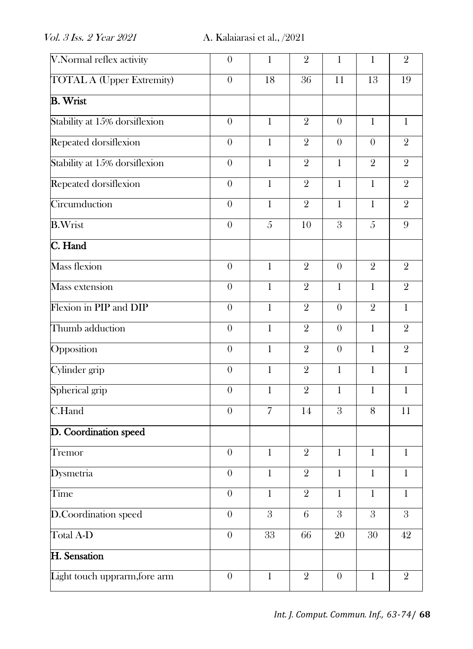| V.Normal reflex activity         | $\theta$         | $\mathbf{1}$   | $\overline{2}$  | $\mathbf{1}$   | 1              | $\overline{2}$ |
|----------------------------------|------------------|----------------|-----------------|----------------|----------------|----------------|
| <b>TOTAL A (Upper Extremity)</b> | $\overline{0}$   | 18             | $\overline{36}$ | 11             | 13             | 19             |
| <b>B.</b> Wrist                  |                  |                |                 |                |                |                |
| Stability at 15% dorsiflexion    | $\theta$         | $\mathbf{1}$   | $\overline{2}$  | $\theta$       | 1              | $\mathbf{1}$   |
| Repeated dorsiflexion            | $\theta$         | $\mathbf{1}$   | $\overline{2}$  | $\theta$       | $\overline{0}$ | $\overline{2}$ |
| Stability at 15% dorsiflexion    | $\overline{0}$   | $\mathbf{1}$   | $\overline{2}$  | $\mathbf{1}$   | $\overline{2}$ | $\overline{2}$ |
| Repeated dorsiflexion            | $\theta$         | $\mathbf{1}$   | $\overline{2}$  | $\mathbf{1}$   | $\mathbf{1}$   | $\overline{2}$ |
| Circumduction                    | $\theta$         | $\mathbf{1}$   | $\overline{2}$  | $\mathbf{1}$   | $\mathbf{1}$   | $\overline{2}$ |
| <b>B.Wrist</b>                   | $\theta$         | $\mathfrak{H}$ | 10              | 3              | 5              | 9              |
| C. Hand                          |                  |                |                 |                |                |                |
| <b>Mass flexion</b>              | $\theta$         | $\mathbf{1}$   | $\overline{2}$  | $\theta$       | $\overline{2}$ | $\overline{2}$ |
| Mass extension                   | $\overline{0}$   | $\overline{1}$ | $\overline{2}$  | $\mathbf{1}$   | $\overline{1}$ | $\overline{2}$ |
| Flexion in PIP and DIP           | $\theta$         | $\mathbf{1}$   | $\overline{2}$  | $\theta$       | $\overline{2}$ | $\mathbf{1}$   |
| Thumb adduction                  | $\theta$         | $\mathbf{1}$   | $\overline{2}$  | $\theta$       | $\mathbf{1}$   | $\overline{2}$ |
| Opposition                       | $\overline{0}$   | $\mathbf{1}$   | $\overline{2}$  | $\overline{0}$ | $\mathbf{1}$   | $\overline{2}$ |
| Cylinder grip                    | $\theta$         | $\mathbf{1}$   | $\overline{2}$  | $\mathbf{1}$   | $\mathbf{1}$   | $\mathbf{1}$   |
| Spherical grip                   | $\theta$         | $\mathbf{1}$   | $\overline{2}$  | $\mathbf{1}$   | $\mathbf{1}$   | $\mathbf 1$    |
| C.Hand                           | $\boldsymbol{0}$ | $\overline{7}$ | 14              | $\overline{3}$ | 8              | 11             |
| D. Coordination speed            |                  |                |                 |                |                |                |
| Tremor                           | $\theta$         | $\mathbf{1}$   | $\overline{2}$  | $\mathbf{1}$   | $\mathbf{1}$   | $\mathbf 1$    |
| <b>Dysmetria</b>                 | $\boldsymbol{0}$ | $\,1$          | $\sqrt{2}$      | $\,1$          | $\,1$          | $\mathbf{1}$   |
| Time                             | $\overline{0}$   | $\mathbf{1}$   | $\overline{2}$  | $\mathbf{1}$   | $\mathbf{1}$   | $\mathbf{1}$   |
| D.Coordination speed             | $\boldsymbol{0}$ | $\mathbf{3}$   | $\overline{6}$  | $\overline{3}$ | $\mathfrak{Z}$ | $\mathbf{3}$   |
| Total A-D                        | $\boldsymbol{0}$ | 33             | 66              | 20             | 30             | 42             |
| H. Sensation                     |                  |                |                 |                |                |                |
| Light touch upprarm, fore arm    | $\boldsymbol{0}$ | $\mathbf{1}$   | $\overline{2}$  | $\theta$       | $\mathbf{1}$   | $\overline{2}$ |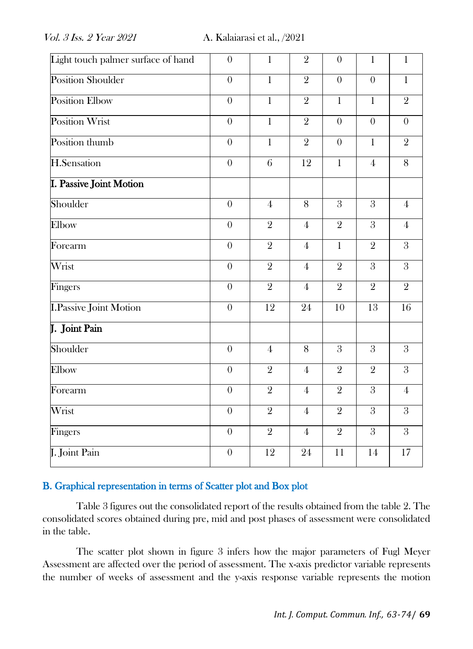| Light touch palmer surface of hand | $\theta$         | $\mathbf{1}$    | $\overline{2}$  | $\theta$       | $\mathbf{1}$    | $\mathbf 1$    |
|------------------------------------|------------------|-----------------|-----------------|----------------|-----------------|----------------|
| <b>Position Shoulder</b>           | $\overline{0}$   | $\overline{1}$  | $\overline{2}$  | $\overline{0}$ | $\overline{0}$  | $\overline{1}$ |
| <b>Position Elbow</b>              | $\theta$         | $\overline{1}$  | $\overline{2}$  | $\mathbf{1}$   | $\mathbf{1}$    | $\overline{2}$ |
| <b>Position Wrist</b>              | $\overline{0}$   | $\overline{1}$  | $\overline{2}$  | $\overline{0}$ | $\theta$        | $\overline{0}$ |
| Position thumb                     | $\theta$         | $\mathbf{1}$    | $\overline{2}$  | $\overline{0}$ | $\mathbf{1}$    | $\overline{2}$ |
| <b>H.Sensation</b>                 | $\boldsymbol{0}$ | $6\overline{6}$ | 12              | $\overline{1}$ | $\overline{4}$  | 8              |
| <b>I. Passive Joint Motion</b>     |                  |                 |                 |                |                 |                |
| Shoulder                           | $\boldsymbol{0}$ | $\overline{4}$  | 8               | $\overline{3}$ | $\mathfrak{z}$  | $\overline{4}$ |
| Elbow                              | $\theta$         | $\overline{2}$  | $\overline{4}$  | $\overline{2}$ | $\overline{3}$  | $\overline{4}$ |
| Forearm                            | $\overline{0}$   | $\overline{2}$  | $\overline{4}$  | $\mathbf{1}$   | $\overline{2}$  | $\overline{3}$ |
| Wrist                              | $\overline{0}$   | $\overline{2}$  | $\overline{4}$  | $\overline{2}$ | $\overline{3}$  | 3              |
| Fingers                            | $\theta$         | $\overline{2}$  | $\overline{4}$  | $\overline{2}$ | $\overline{2}$  | $\overline{2}$ |
| <b>I.Passive Joint Motion</b>      | $\overline{0}$   | 12              | $\overline{24}$ | 10             | $\overline{13}$ | 16             |
| J. Joint Pain                      |                  |                 |                 |                |                 |                |
| Shoulder                           | $\theta$         | $\overline{4}$  | 8               | $\overline{3}$ | $\overline{3}$  | $\overline{3}$ |
| Elbow                              | $\theta$         | $\overline{2}$  | $\overline{4}$  | $\overline{2}$ | $\overline{2}$  | $\overline{3}$ |
| Forearm                            | $\theta$         | $\overline{2}$  | $\overline{4}$  | $\overline{2}$ | $\overline{3}$  | $\overline{4}$ |
| Wrist                              | $\theta$         | $\overline{2}$  | $\overline{4}$  | $\overline{2}$ | $\overline{3}$  | $\overline{3}$ |
| Fingers                            | $\theta$         | $\overline{2}$  | $\overline{4}$  | $\overline{2}$ | $\mathfrak{z}$  | $\overline{3}$ |
| J. Joint Pain                      | $\theta$         | 12              | 24              | 11             | 14              | 17             |

## B. Graphical representation in terms of Scatter plot and Box plot

Table 3 figures out the consolidated report of the results obtained from the table 2. The consolidated scores obtained during pre, mid and post phases of assessment were consolidated in the table.

The scatter plot shown in figure 3 infers how the major parameters of Fugl Meyer Assessment are affected over the period of assessment. The x-axis predictor variable represents the number of weeks of assessment and the y-axis response variable represents the motion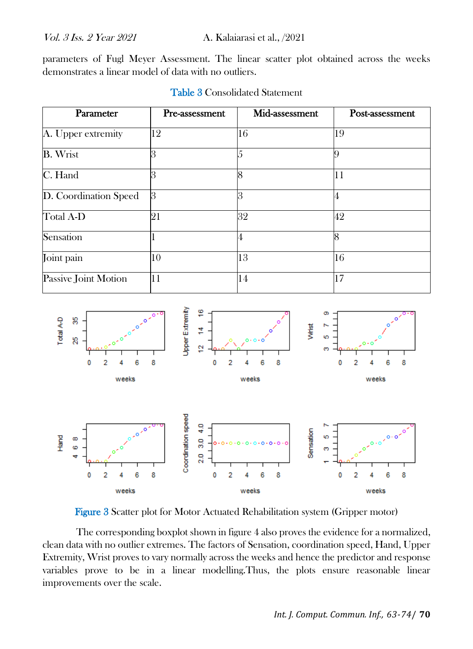parameters of Fugl Meyer Assessment. The linear scatter plot obtained across the weeks demonstrates a linear model of data with no outliers.

| Parameter             | Pre-assessment | Mid-assessment | Post-assessment |
|-----------------------|----------------|----------------|-----------------|
| A. Upper extremity    | 12             | 16             | 19              |
| <b>B.</b> Wrist       | 3              |                |                 |
| C. Hand               | З              | 8              | 11              |
| D. Coordination Speed | 3              | 3              |                 |
| Total A-D             | 21             | 32             | 42              |
| Sensation             |                | 4              | 8               |
| Joint pain            | 10             | 13             | 16              |
| Passive Joint Motion  | 11             | 14             | 17              |

#### Table 3 Consolidated Statement



Figure 3 Scatter plot for Motor Actuated Rehabilitation system (Gripper motor)

The corresponding boxplot shown in figure 4 also proves the evidence for a normalized, clean data with no outlier extremes. The factors of Sensation, coordination speed, Hand, Upper Extremity, Wrist proves to vary normally across the weeks and hence the predictor and response variables prove to be in a linear modelling.Thus, the plots ensure reasonable linear improvements over the scale.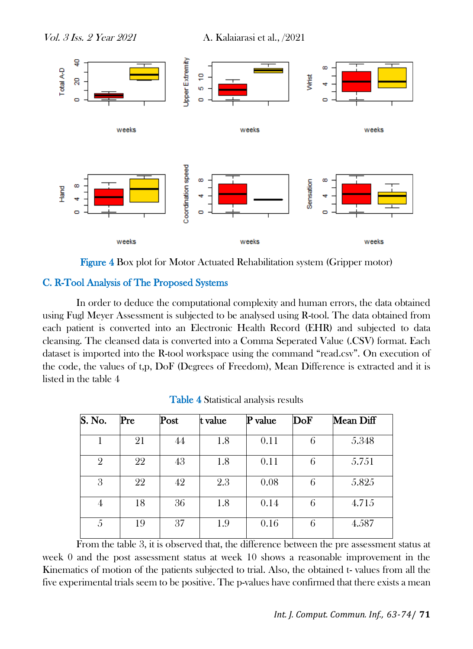

Figure 4 Box plot for Motor Actuated Rehabilitation system (Gripper motor)

#### C. R-Tool Analysis of The Proposed Systems

In order to deduce the computational complexity and human errors, the data obtained using Fugl Meyer Assessment is subjected to be analysed using R-tool. The data obtained from each patient is converted into an Electronic Health Record (EHR) and subjected to data cleansing. The cleansed data is converted into a Comma Seperated Value (.CSV) format. Each dataset is imported into the R-tool workspace using the command "read.csv". On execution of the code, the values of t,p, DoF (Degrees of Freedom), Mean Difference is extracted and it is listed in the table 4

| $\overline{\mathbf{S}}$ . No. | Pre | Post | t value | P value | DoF | Mean Diff |
|-------------------------------|-----|------|---------|---------|-----|-----------|
|                               | 21  | 44   | 1.8     | 0.11    | 6   | 5.348     |
| $\overline{2}$                | 22  | 43   | 1.8     | 0.11    | 6   | 5.751     |
| 3                             | 22  | 42   | 2.3     | 0.08    | 6   | 5.825     |
| 4                             | 18  | 36   | 1.8     | 0.14    | 6   | 4.715     |
| 5                             | 19  | 37   | 1.9     | 0.16    | 6   | 4.587     |

Table 4 Statistical analysis results

From the table 3, it is observed that, the difference between the pre assessment status at week 0 and the post assessment status at week 10 shows a reasonable improvement in the Kinematics of motion of the patients subjected to trial. Also, the obtained t- values from all the five experimental trials seem to be positive. The p-values have confirmed that there exists a mean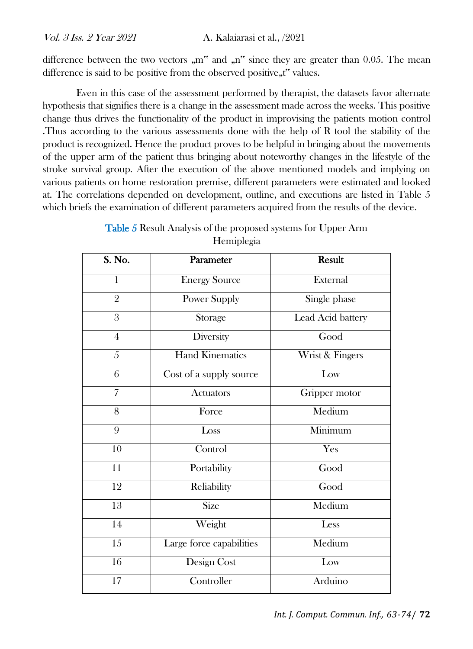difference between the two vectors  $\Delta m''$  and  $\Delta n''$  since they are greater than 0.05. The mean difference is said to be positive from the observed positive, t" values.

Even in this case of the assessment performed by therapist, the datasets favor alternate hypothesis that signifies there is a change in the assessment made across the weeks. This positive change thus drives the functionality of the product in improvising the patients motion control .Thus according to the various assessments done with the help of R tool the stability of the product is recognized. Hence the product proves to be helpful in bringing about the movements of the upper arm of the patient thus bringing about noteworthy changes in the lifestyle of the stroke survival group. After the execution of the above mentioned models and implying on various patients on home restoration premise, different parameters were estimated and looked at. The correlations depended on development, outline, and executions are listed in Table 5 which briefs the examination of different parameters acquired from the results of the device.

| Table 5 Result Analysis of the proposed systems for Upper Arm |
|---------------------------------------------------------------|
| Hemiplegia                                                    |

| S. No.          | Parameter                | <b>Result</b>     |  |  |
|-----------------|--------------------------|-------------------|--|--|
| $\mathbf{1}$    | <b>Energy Source</b>     | External          |  |  |
| $\overline{2}$  | Power Supply             | Single phase      |  |  |
| 3               | Storage                  | Lead Acid battery |  |  |
| $\overline{4}$  | Diversity                | Good              |  |  |
| $\overline{5}$  | <b>Hand Kinematics</b>   | Wrist & Fingers   |  |  |
| 6               | Cost of a supply source  | Low               |  |  |
| $\overline{7}$  | <b>Actuators</b>         | Gripper motor     |  |  |
| 8               | Force                    | Medium            |  |  |
| 9               | Loss                     | Minimum           |  |  |
| 10              | Control                  | Yes               |  |  |
| 11              | Portability              | Good              |  |  |
| 12              | Reliability              | Good              |  |  |
| 13              | Size                     | Medium            |  |  |
| 14              | Weight                   | Less              |  |  |
| $\overline{15}$ | Large force capabilities | Medium            |  |  |
| $\overline{16}$ | Design Cost              | Low               |  |  |
| 17              | Controller               | Arduino           |  |  |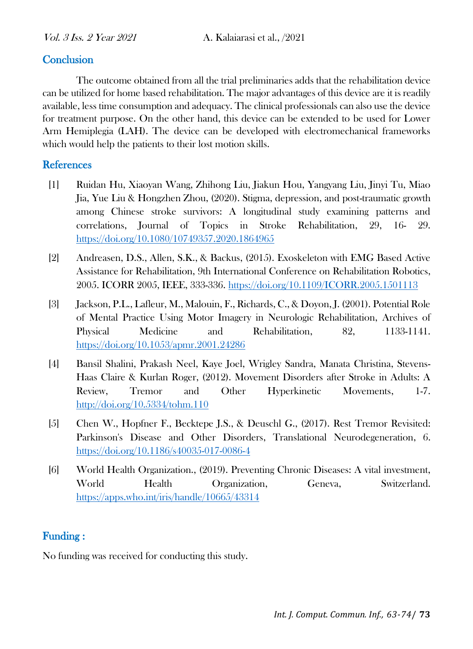## **Conclusion**

The outcome obtained from all the trial preliminaries adds that the rehabilitation device can be utilized for home based rehabilitation. The major advantages of this device are it is readily available, less time consumption and adequacy. The clinical professionals can also use the device for treatment purpose. On the other hand, this device can be extended to be used for Lower Arm Hemiplegia (LAH). The device can be developed with electromechanical frameworks which would help the patients to their lost motion skills.

## **References**

- [1] Ruidan Hu, Xiaoyan Wang, Zhihong Liu, Jiakun Hou, Yangyang Liu, Jinyi Tu, Miao Jia, Yue Liu & Hongzhen Zhou, (2020). Stigma, depression, and post-traumatic growth among Chinese stroke survivors: A longitudinal study examining patterns and correlations, Journal of Topics in Stroke Rehabilitation, 29, 16- 29. <https://doi.org/10.1080/10749357.2020.1864965>
- [2] Andreasen, D.S., Allen, S.K., & Backus, (2015). Exoskeleton with EMG Based Active Assistance for Rehabilitation, 9th International Conference on Rehabilitation Robotics, 2005. ICORR 2005, IEEE, 333-336.<https://doi.org/10.1109/ICORR.2005.1501113>
- [3] Jackson, P.L., Lafleur, M., Malouin, F., Richards, C., & Doyon, J. (2001). Potential Role of Mental Practice Using Motor Imagery in Neurologic Rehabilitation, Archives of Physical Medicine and Rehabilitation, 82, 1133-1141. <https://doi.org/10.1053/apmr.2001.24286>
- [4] Bansil Shalini, Prakash Neel, Kaye Joel, Wrigley Sandra, Manata Christina, Stevens-Haas Claire & Kurlan Roger, (2012). Movement Disorders after Stroke in Adults: A Review, Tremor and Other Hyperkinetic Movements, 1-7. <http://doi.org/10.5334/tohm.110>
- [5] Chen W., Hopfner F., Becktepe J.S., & Deuschl G., (2017). Rest Tremor Revisited: Parkinson's Disease and Other Disorders, Translational Neurodegeneration, 6. <https://doi.org/10.1186/s40035-017-0086-4>
- [6] World Health Organization., (2019). Preventing Chronic Diseases: A vital investment, World Health Organization, Geneva, Switzerland. <https://apps.who.int/iris/handle/10665/43314>

## Funding :

No funding was received for conducting this study.